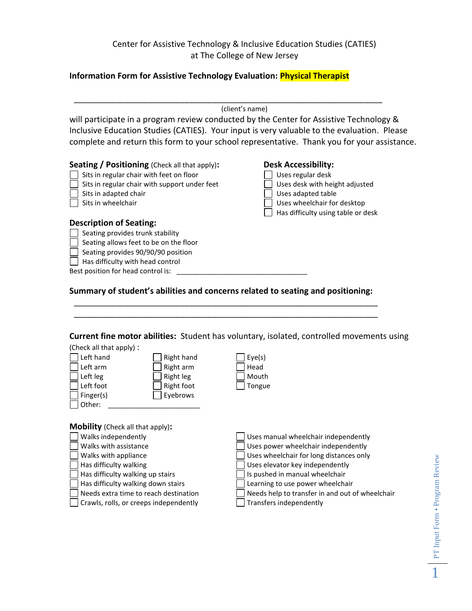## Center for Assistive Technology & Inclusive Education Studies (CATIES) at The College of New Jersey

#### **Information Form for Assistive Technology Evaluation: Physical Therapist**

\_\_\_\_\_\_\_\_\_\_\_\_\_\_\_\_\_\_\_\_\_\_\_\_\_\_\_\_\_\_\_\_\_\_\_\_\_\_\_\_\_\_\_\_\_\_\_\_\_\_\_\_\_\_\_\_\_\_\_\_\_\_\_\_\_\_\_ (client's name)

will participate in a program review conducted by the Center for Assistive Technology & Inclusive Education Studies (CATIES). Your input is very valuable to the evaluation. Please complete and return this form to your school representative. Thank you for your assistance.

| Seating / Positioning (Check all that apply): |  |
|-----------------------------------------------|--|
|-----------------------------------------------|--|

- $\Box$  Sits in regular chair with feet on floor  $\Box$  Uses regular desk
	- Sits in regular chair with support under feet  $\Box$  Uses desk with height adjusted
- Sits in adapted chair **No. 2. In the set of the Sites** of the Uses adapted table
- 

| <b>Desk Accessibility:</b> |  |  |
|----------------------------|--|--|
| $\Box$ Heas regular desk   |  |  |

- 
- 
- Sits in wheelchair Sits in wheelchair Sits in wheelchair for desktop
	- $\Box$  Has difficulty using table or desk

#### **Description of Seating:**

- **Seating provides trunk stability**
- $\overline{\phantom{a}}$  Seating allows feet to be on the floor
- $\Box$  Seating provides 90/90/90 position
- $\Box$  Has difficulty with head control

Best position for head control is: \_

## **Summary of student's abilities and concerns related to seating and positioning:**

\_\_\_\_\_\_\_\_\_\_\_\_\_\_\_\_\_\_\_\_\_\_\_\_\_\_\_\_\_\_\_\_\_\_\_\_\_\_\_\_\_\_\_\_\_\_\_\_\_\_\_\_\_\_\_\_\_\_\_\_\_\_\_\_\_\_ \_\_\_\_\_\_\_\_\_\_\_\_\_\_\_\_\_\_\_\_\_\_\_\_\_\_\_\_\_\_\_\_\_\_\_\_\_\_\_\_\_\_\_\_\_\_\_\_\_\_\_\_\_\_\_\_\_\_\_\_\_\_\_\_\_\_

#### **Current fine motor abilities:** Student has voluntary, isolated, controlled movements using

| (Check all that apply): |            |        |
|-------------------------|------------|--------|
| Left hand               | Right hand | Eye(s) |
| Left arm                | Right arm  | Head   |
| Left leg                | Right leg  | Mouth  |
| Left foot               | Right foot | Tongue |
| Finger(s)               | Eyebrows   |        |
| Other:                  |            |        |

**Mobility** (Check all that apply)**:**